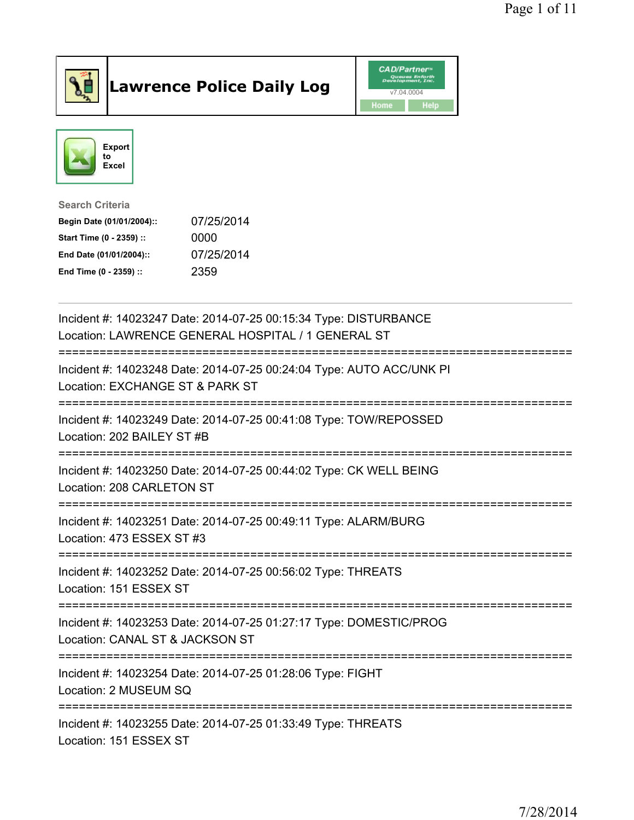

## Lawrence Police Daily Log **Daniel CAD/Partner**





## Search Criteria Begin Date (01/01/2004):: 07/25/2014 Start Time (0 - 2359) :: 0000 End Date (01/01/2004):: 07/25/2014 End Time (0 - 2359) :: 2359

| Incident #: 14023247 Date: 2014-07-25 00:15:34 Type: DISTURBANCE<br>Location: LAWRENCE GENERAL HOSPITAL / 1 GENERAL ST |
|------------------------------------------------------------------------------------------------------------------------|
| Incident #: 14023248 Date: 2014-07-25 00:24:04 Type: AUTO ACC/UNK PI<br>Location: EXCHANGE ST & PARK ST                |
| Incident #: 14023249 Date: 2014-07-25 00:41:08 Type: TOW/REPOSSED<br>Location: 202 BAILEY ST #B                        |
| Incident #: 14023250 Date: 2014-07-25 00:44:02 Type: CK WELL BEING<br>Location: 208 CARLETON ST                        |
| Incident #: 14023251 Date: 2014-07-25 00:49:11 Type: ALARM/BURG<br>Location: 473 ESSEX ST #3                           |
| Incident #: 14023252 Date: 2014-07-25 00:56:02 Type: THREATS<br>Location: 151 ESSEX ST                                 |
| Incident #: 14023253 Date: 2014-07-25 01:27:17 Type: DOMESTIC/PROG<br>Location: CANAL ST & JACKSON ST                  |
| Incident #: 14023254 Date: 2014-07-25 01:28:06 Type: FIGHT<br>Location: 2 MUSEUM SQ                                    |
| Incident #: 14023255 Date: 2014-07-25 01:33:49 Type: THREATS<br>Location: 151 ESSEX ST                                 |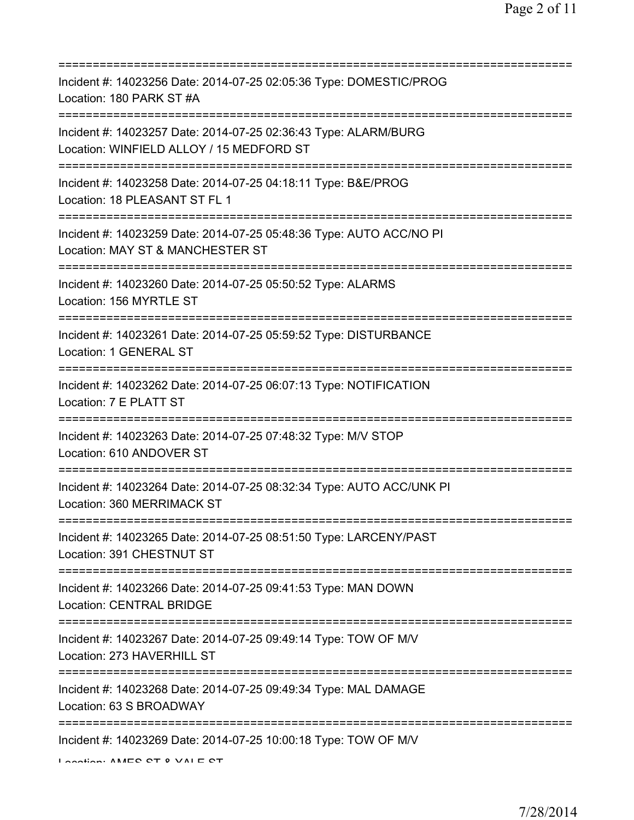| Incident #: 14023256 Date: 2014-07-25 02:05:36 Type: DOMESTIC/PROG<br>Location: 180 PARK ST #A                                                         |
|--------------------------------------------------------------------------------------------------------------------------------------------------------|
| Incident #: 14023257 Date: 2014-07-25 02:36:43 Type: ALARM/BURG<br>Location: WINFIELD ALLOY / 15 MEDFORD ST<br>:=================================      |
| Incident #: 14023258 Date: 2014-07-25 04:18:11 Type: B&E/PROG<br>Location: 18 PLEASANT ST FL 1                                                         |
| Incident #: 14023259 Date: 2014-07-25 05:48:36 Type: AUTO ACC/NO PI<br>Location: MAY ST & MANCHESTER ST                                                |
| Incident #: 14023260 Date: 2014-07-25 05:50:52 Type: ALARMS<br>Location: 156 MYRTLE ST                                                                 |
| Incident #: 14023261 Date: 2014-07-25 05:59:52 Type: DISTURBANCE<br>Location: 1 GENERAL ST                                                             |
| Incident #: 14023262 Date: 2014-07-25 06:07:13 Type: NOTIFICATION<br>Location: 7 E PLATT ST                                                            |
| =============================<br>========================<br>Incident #: 14023263 Date: 2014-07-25 07:48:32 Type: M/V STOP<br>Location: 610 ANDOVER ST |
| Incident #: 14023264 Date: 2014-07-25 08:32:34 Type: AUTO ACC/UNK PI<br>Location: 360 MERRIMACK ST                                                     |
| Incident #: 14023265 Date: 2014-07-25 08:51:50 Type: LARCENY/PAST<br>Location: 391 CHESTNUT ST                                                         |
| Incident #: 14023266 Date: 2014-07-25 09:41:53 Type: MAN DOWN<br><b>Location: CENTRAL BRIDGE</b>                                                       |
| Incident #: 14023267 Date: 2014-07-25 09:49:14 Type: TOW OF M/V<br>Location: 273 HAVERHILL ST                                                          |
| =================================<br>Incident #: 14023268 Date: 2014-07-25 09:49:34 Type: MAL DAMAGE<br>Location: 63 S BROADWAY                        |
| Incident #: 14023269 Date: 2014-07-25 10:00:18 Type: TOW OF M/V<br>I coofion: AMEC CT 0 VAI E CT                                                       |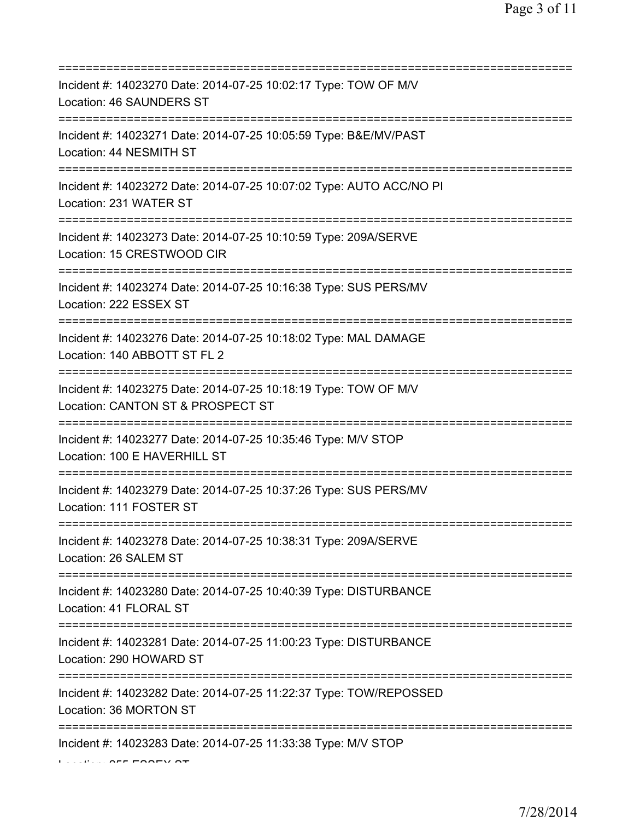| Incident #: 14023270 Date: 2014-07-25 10:02:17 Type: TOW OF M/V<br>Location: 46 SAUNDERS ST                                    |
|--------------------------------------------------------------------------------------------------------------------------------|
| Incident #: 14023271 Date: 2014-07-25 10:05:59 Type: B&E/MV/PAST<br>Location: 44 NESMITH ST                                    |
| Incident #: 14023272 Date: 2014-07-25 10:07:02 Type: AUTO ACC/NO PI<br>Location: 231 WATER ST                                  |
| Incident #: 14023273 Date: 2014-07-25 10:10:59 Type: 209A/SERVE<br>Location: 15 CRESTWOOD CIR                                  |
| Incident #: 14023274 Date: 2014-07-25 10:16:38 Type: SUS PERS/MV<br>Location: 222 ESSEX ST<br>================================ |
| Incident #: 14023276 Date: 2014-07-25 10:18:02 Type: MAL DAMAGE<br>Location: 140 ABBOTT ST FL 2                                |
| Incident #: 14023275 Date: 2014-07-25 10:18:19 Type: TOW OF M/V<br>Location: CANTON ST & PROSPECT ST                           |
| Incident #: 14023277 Date: 2014-07-25 10:35:46 Type: M/V STOP<br>Location: 100 E HAVERHILL ST                                  |
| Incident #: 14023279 Date: 2014-07-25 10:37:26 Type: SUS PERS/MV<br>Location: 111 FOSTER ST                                    |
| Incident #: 14023278 Date: 2014-07-25 10:38:31 Type: 209A/SERVE<br>Location: 26 SALEM ST                                       |
| Incident #: 14023280 Date: 2014-07-25 10:40:39 Type: DISTURBANCE<br>Location: 41 FLORAL ST                                     |
| Incident #: 14023281 Date: 2014-07-25 11:00:23 Type: DISTURBANCE<br>Location: 290 HOWARD ST                                    |
| Incident #: 14023282 Date: 2014-07-25 11:22:37 Type: TOW/REPOSSED<br>Location: 36 MORTON ST                                    |
| Incident #: 14023283 Date: 2014-07-25 11:33:38 Type: M/V STOP                                                                  |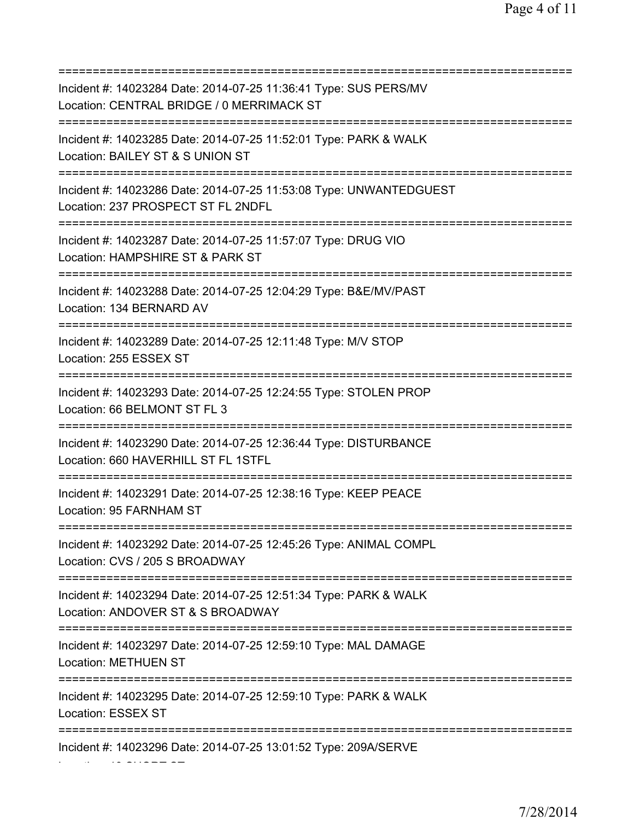| Incident #: 14023284 Date: 2014-07-25 11:36:41 Type: SUS PERS/MV<br>Location: CENTRAL BRIDGE / 0 MERRIMACK ST<br>=========================       |
|--------------------------------------------------------------------------------------------------------------------------------------------------|
| Incident #: 14023285 Date: 2014-07-25 11:52:01 Type: PARK & WALK<br>Location: BAILEY ST & S UNION ST<br>=======================                  |
| Incident #: 14023286 Date: 2014-07-25 11:53:08 Type: UNWANTEDGUEST<br>Location: 237 PROSPECT ST FL 2NDFL<br>==================================== |
| Incident #: 14023287 Date: 2014-07-25 11:57:07 Type: DRUG VIO<br>Location: HAMPSHIRE ST & PARK ST                                                |
| Incident #: 14023288 Date: 2014-07-25 12:04:29 Type: B&E/MV/PAST<br>Location: 134 BERNARD AV<br>==========================                       |
| Incident #: 14023289 Date: 2014-07-25 12:11:48 Type: M/V STOP<br>Location: 255 ESSEX ST                                                          |
| Incident #: 14023293 Date: 2014-07-25 12:24:55 Type: STOLEN PROP<br>Location: 66 BELMONT ST FL 3<br>;========:                                   |
| Incident #: 14023290 Date: 2014-07-25 12:36:44 Type: DISTURBANCE<br>Location: 660 HAVERHILL ST FL 1STFL                                          |
| Incident #: 14023291 Date: 2014-07-25 12:38:16 Type: KEEP PEACE<br>Location: 95 FARNHAM ST                                                       |
| Incident #: 14023292 Date: 2014-07-25 12:45:26 Type: ANIMAL COMPL<br>Location: CVS / 205 S BROADWAY                                              |
| Incident #: 14023294 Date: 2014-07-25 12:51:34 Type: PARK & WALK<br>Location: ANDOVER ST & S BROADWAY                                            |
| Incident #: 14023297 Date: 2014-07-25 12:59:10 Type: MAL DAMAGE<br><b>Location: METHUEN ST</b>                                                   |
| Incident #: 14023295 Date: 2014-07-25 12:59:10 Type: PARK & WALK<br>Location: ESSEX ST                                                           |
| =============<br>Incident #: 14023296 Date: 2014-07-25 13:01:52 Type: 209A/SERVE                                                                 |

Location: 19 SHORT ST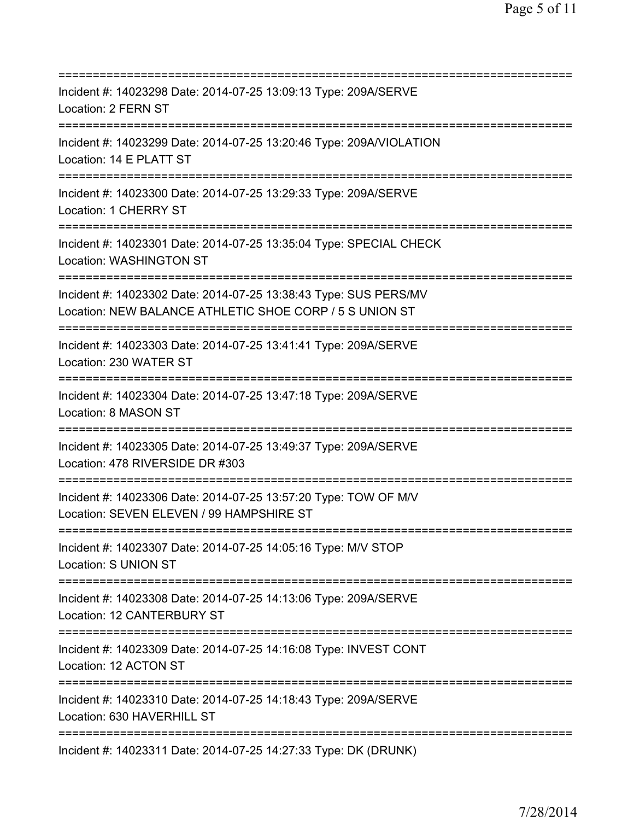| Incident #: 14023298 Date: 2014-07-25 13:09:13 Type: 209A/SERVE<br>Location: 2 FERN ST                                                  |
|-----------------------------------------------------------------------------------------------------------------------------------------|
| Incident #: 14023299 Date: 2014-07-25 13:20:46 Type: 209A/VIOLATION<br>Location: 14 E PLATT ST                                          |
| Incident #: 14023300 Date: 2014-07-25 13:29:33 Type: 209A/SERVE<br>Location: 1 CHERRY ST                                                |
| Incident #: 14023301 Date: 2014-07-25 13:35:04 Type: SPECIAL CHECK<br>Location: WASHINGTON ST                                           |
| Incident #: 14023302 Date: 2014-07-25 13:38:43 Type: SUS PERS/MV<br>Location: NEW BALANCE ATHLETIC SHOE CORP / 5 S UNION ST             |
| Incident #: 14023303 Date: 2014-07-25 13:41:41 Type: 209A/SERVE<br>Location: 230 WATER ST<br>=================================          |
| Incident #: 14023304 Date: 2014-07-25 13:47:18 Type: 209A/SERVE<br>Location: 8 MASON ST                                                 |
| Incident #: 14023305 Date: 2014-07-25 13:49:37 Type: 209A/SERVE<br>Location: 478 RIVERSIDE DR #303<br>============                      |
| Incident #: 14023306 Date: 2014-07-25 13:57:20 Type: TOW OF M/V<br>Location: SEVEN ELEVEN / 99 HAMPSHIRE ST                             |
| Incident #: 14023307 Date: 2014-07-25 14:05:16 Type: M/V STOP<br>Location: S UNION ST                                                   |
| Incident #: 14023308 Date: 2014-07-25 14:13:06 Type: 209A/SERVE<br>Location: 12 CANTERBURY ST<br>;===================================== |
| Incident #: 14023309 Date: 2014-07-25 14:16:08 Type: INVEST CONT<br>Location: 12 ACTON ST                                               |
| Incident #: 14023310 Date: 2014-07-25 14:18:43 Type: 209A/SERVE<br>Location: 630 HAVERHILL ST                                           |
| Incident #: 14023311 Date: 2014-07-25 14:27:33 Type: DK (DRUNK)                                                                         |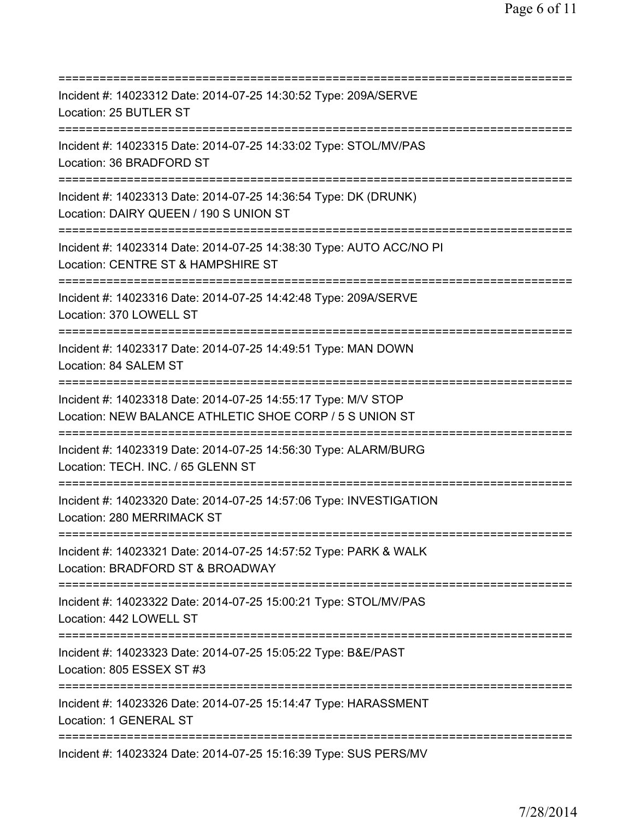| ;=========================                                                                                                                    |
|-----------------------------------------------------------------------------------------------------------------------------------------------|
| Incident #: 14023312 Date: 2014-07-25 14:30:52 Type: 209A/SERVE<br>Location: 25 BUTLER ST                                                     |
| Incident #: 14023315 Date: 2014-07-25 14:33:02 Type: STOL/MV/PAS<br>Location: 36 BRADFORD ST                                                  |
| Incident #: 14023313 Date: 2014-07-25 14:36:54 Type: DK (DRUNK)<br>Location: DAIRY QUEEN / 190 S UNION ST<br>================================ |
| Incident #: 14023314 Date: 2014-07-25 14:38:30 Type: AUTO ACC/NO PI<br>Location: CENTRE ST & HAMPSHIRE ST                                     |
| Incident #: 14023316 Date: 2014-07-25 14:42:48 Type: 209A/SERVE<br>Location: 370 LOWELL ST                                                    |
| Incident #: 14023317 Date: 2014-07-25 14:49:51 Type: MAN DOWN<br>Location: 84 SALEM ST                                                        |
| Incident #: 14023318 Date: 2014-07-25 14:55:17 Type: M/V STOP<br>Location: NEW BALANCE ATHLETIC SHOE CORP / 5 S UNION ST                      |
| Incident #: 14023319 Date: 2014-07-25 14:56:30 Type: ALARM/BURG<br>Location: TECH. INC. / 65 GLENN ST                                         |
| Incident #: 14023320 Date: 2014-07-25 14:57:06 Type: INVESTIGATION<br>Location: 280 MERRIMACK ST                                              |
| Incident #: 14023321 Date: 2014-07-25 14:57:52 Type: PARK & WALK<br>Location: BRADFORD ST & BROADWAY                                          |
| Incident #: 14023322 Date: 2014-07-25 15:00:21 Type: STOL/MV/PAS<br>Location: 442 LOWELL ST                                                   |
| Incident #: 14023323 Date: 2014-07-25 15:05:22 Type: B&E/PAST<br>Location: 805 ESSEX ST #3                                                    |
| ============================<br>Incident #: 14023326 Date: 2014-07-25 15:14:47 Type: HARASSMENT<br>Location: 1 GENERAL ST                     |
| Incident #: 14023324 Date: 2014-07-25 15:16:39 Type: SUS PERS/MV                                                                              |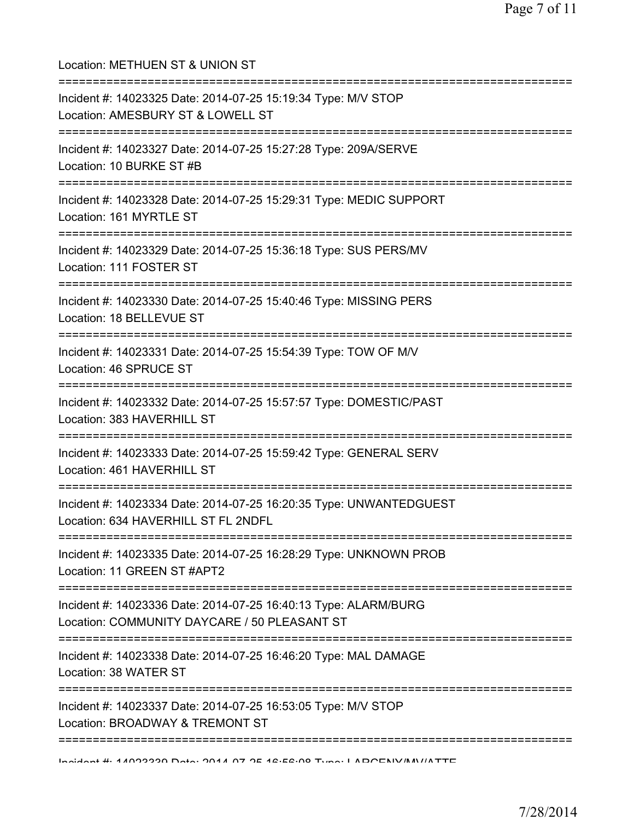Location: METHUEN ST & UNION ST =========================================================================== Incident #: 14023325 Date: 2014-07-25 15:19:34 Type: M/V STOP Location: AMESBURY ST & LOWELL ST =========================================================================== Incident #: 14023327 Date: 2014-07-25 15:27:28 Type: 209A/SERVE Location: 10 BURKE ST #B =========================================================================== Incident #: 14023328 Date: 2014-07-25 15:29:31 Type: MEDIC SUPPORT Location: 161 MYRTLE ST =========================================================================== Incident #: 14023329 Date: 2014-07-25 15:36:18 Type: SUS PERS/MV Location: 111 FOSTER ST =========================================================================== Incident #: 14023330 Date: 2014-07-25 15:40:46 Type: MISSING PERS Location: 18 BELLEVUE ST =========================================================================== Incident #: 14023331 Date: 2014-07-25 15:54:39 Type: TOW OF M/V Location: 46 SPRUCE ST =========================================================================== Incident #: 14023332 Date: 2014-07-25 15:57:57 Type: DOMESTIC/PAST Location: 383 HAVERHILL ST =========================================================================== Incident #: 14023333 Date: 2014-07-25 15:59:42 Type: GENERAL SERV Location: 461 HAVERHILL ST =========================================================================== Incident #: 14023334 Date: 2014-07-25 16:20:35 Type: UNWANTEDGUEST Location: 634 HAVERHILL ST FL 2NDFL =========================================================================== Incident #: 14023335 Date: 2014-07-25 16:28:29 Type: UNKNOWN PROB Location: 11 GREEN ST #APT2 =========================================================================== Incident #: 14023336 Date: 2014-07-25 16:40:13 Type: ALARM/BURG Location: COMMUNITY DAYCARE / 50 PLEASANT ST =========================================================================== Incident #: 14023338 Date: 2014-07-25 16:46:20 Type: MAL DAMAGE Location: 38 WATER ST =========================================================================== Incident #: 14023337 Date: 2014-07-25 16:53:05 Type: M/V STOP Location: BROADWAY & TREMONT ST =========================================================================== Incident #: 14023339 Date: 2014 07 25 16:56:08 Type: LARCENY/MV/ATTE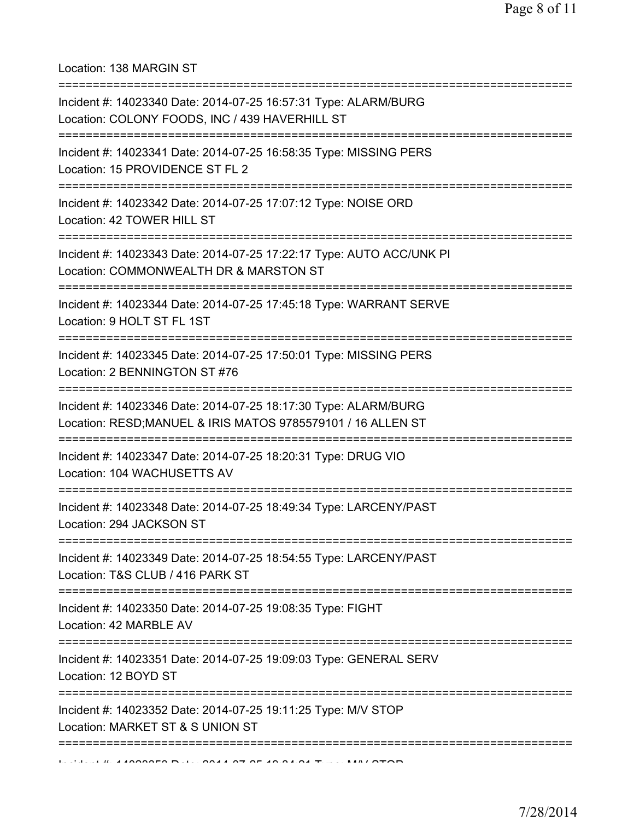Location: 138 MARGIN ST

| Incident #: 14023340 Date: 2014-07-25 16:57:31 Type: ALARM/BURG<br>Location: COLONY FOODS, INC / 439 HAVERHILL ST               |
|---------------------------------------------------------------------------------------------------------------------------------|
| Incident #: 14023341 Date: 2014-07-25 16:58:35 Type: MISSING PERS<br>Location: 15 PROVIDENCE ST FL 2                            |
| Incident #: 14023342 Date: 2014-07-25 17:07:12 Type: NOISE ORD<br>Location: 42 TOWER HILL ST                                    |
| Incident #: 14023343 Date: 2014-07-25 17:22:17 Type: AUTO ACC/UNK PI<br>Location: COMMONWEALTH DR & MARSTON ST                  |
| Incident #: 14023344 Date: 2014-07-25 17:45:18 Type: WARRANT SERVE<br>Location: 9 HOLT ST FL 1ST                                |
| Incident #: 14023345 Date: 2014-07-25 17:50:01 Type: MISSING PERS<br>Location: 2 BENNINGTON ST #76<br>:==========               |
| Incident #: 14023346 Date: 2014-07-25 18:17:30 Type: ALARM/BURG<br>Location: RESD; MANUEL & IRIS MATOS 9785579101 / 16 ALLEN ST |
| Incident #: 14023347 Date: 2014-07-25 18:20:31 Type: DRUG VIO<br>Location: 104 WACHUSETTS AV                                    |
| Incident #: 14023348 Date: 2014-07-25 18:49:34 Type: LARCENY/PAST<br>Location: 294 JACKSON ST                                   |
| Incident #: 14023349 Date: 2014-07-25 18:54:55 Type: LARCENY/PAST<br>Location: T&S CLUB / 416 PARK ST                           |
| Incident #: 14023350 Date: 2014-07-25 19:08:35 Type: FIGHT<br>Location: 42 MARBLE AV                                            |
| Incident #: 14023351 Date: 2014-07-25 19:09:03 Type: GENERAL SERV<br>Location: 12 BOYD ST                                       |
| Incident #: 14023352 Date: 2014-07-25 19:11:25 Type: M/V STOP<br>Location: MARKET ST & S UNION ST                               |
|                                                                                                                                 |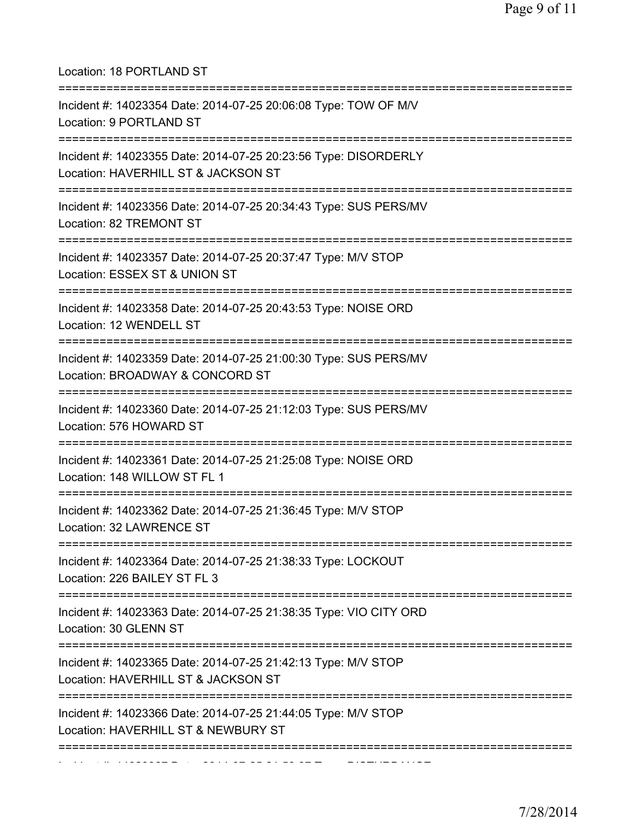| Location: 18 PORTLAND ST<br>======================================                                                                    |
|---------------------------------------------------------------------------------------------------------------------------------------|
| Incident #: 14023354 Date: 2014-07-25 20:06:08 Type: TOW OF M/V<br>Location: 9 PORTLAND ST<br>=================================       |
| Incident #: 14023355 Date: 2014-07-25 20:23:56 Type: DISORDERLY<br>Location: HAVERHILL ST & JACKSON ST<br>===================         |
| Incident #: 14023356 Date: 2014-07-25 20:34:43 Type: SUS PERS/MV<br>Location: 82 TREMONT ST                                           |
| Incident #: 14023357 Date: 2014-07-25 20:37:47 Type: M/V STOP<br>Location: ESSEX ST & UNION ST                                        |
| Incident #: 14023358 Date: 2014-07-25 20:43:53 Type: NOISE ORD<br>Location: 12 WENDELL ST                                             |
| Incident #: 14023359 Date: 2014-07-25 21:00:30 Type: SUS PERS/MV<br>Location: BROADWAY & CONCORD ST                                   |
| Incident #: 14023360 Date: 2014-07-25 21:12:03 Type: SUS PERS/MV<br>Location: 576 HOWARD ST                                           |
| Incident #: 14023361 Date: 2014-07-25 21:25:08 Type: NOISE ORD<br>Location: 148 WILLOW ST FL 1                                        |
| Incident #: 14023362 Date: 2014-07-25 21:36:45 Type: M/V STOP<br>Location: 32 LAWRENCE ST<br>===============================          |
| Incident #: 14023364 Date: 2014-07-25 21:38:33 Type: LOCKOUT<br>Location: 226 BAILEY ST FL 3<br>===================================== |
| Incident #: 14023363 Date: 2014-07-25 21:38:35 Type: VIO CITY ORD<br>Location: 30 GLENN ST                                            |
| Incident #: 14023365 Date: 2014-07-25 21:42:13 Type: M/V STOP<br>Location: HAVERHILL ST & JACKSON ST                                  |
| :===========<br>Incident #: 14023366 Date: 2014-07-25 21:44:05 Type: M/V STOP<br>Location: HAVERHILL ST & NEWBURY ST                  |
|                                                                                                                                       |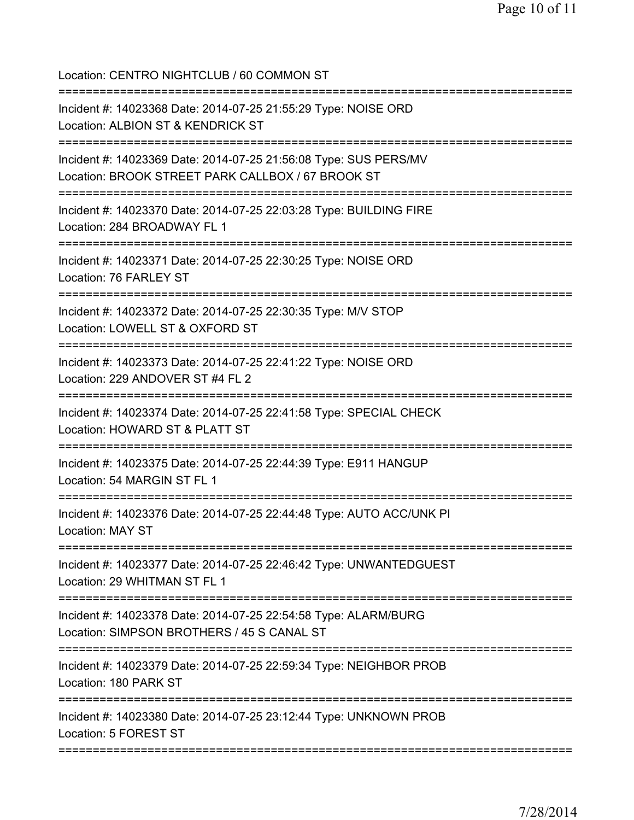Location: CENTRO NIGHTCLUB / 60 COMMON ST =========================================================================== Incident #: 14023368 Date: 2014-07-25 21:55:29 Type: NOISE ORD Location: ALBION ST & KENDRICK ST =========================================================================== Incident #: 14023369 Date: 2014-07-25 21:56:08 Type: SUS PERS/MV Location: BROOK STREET PARK CALLBOX / 67 BROOK ST =========================================================================== Incident #: 14023370 Date: 2014-07-25 22:03:28 Type: BUILDING FIRE Location: 284 BROADWAY FL 1 =========================================================================== Incident #: 14023371 Date: 2014-07-25 22:30:25 Type: NOISE ORD Location: 76 FARLEY ST =========================================================================== Incident #: 14023372 Date: 2014-07-25 22:30:35 Type: M/V STOP Location: LOWELL ST & OXFORD ST =========================================================================== Incident #: 14023373 Date: 2014-07-25 22:41:22 Type: NOISE ORD Location: 229 ANDOVER ST #4 FL 2 =========================================================================== Incident #: 14023374 Date: 2014-07-25 22:41:58 Type: SPECIAL CHECK Location: HOWARD ST & PLATT ST =========================================================================== Incident #: 14023375 Date: 2014-07-25 22:44:39 Type: E911 HANGUP Location: 54 MARGIN ST FL 1 =========================================================================== Incident #: 14023376 Date: 2014-07-25 22:44:48 Type: AUTO ACC/UNK PI Location: MAY ST =========================================================================== Incident #: 14023377 Date: 2014-07-25 22:46:42 Type: UNWANTEDGUEST Location: 29 WHITMAN ST FL 1 =========================================================================== Incident #: 14023378 Date: 2014-07-25 22:54:58 Type: ALARM/BURG Location: SIMPSON BROTHERS / 45 S CANAL ST =========================================================================== Incident #: 14023379 Date: 2014-07-25 22:59:34 Type: NEIGHBOR PROB Location: 180 PARK ST =========================================================================== Incident #: 14023380 Date: 2014-07-25 23:12:44 Type: UNKNOWN PROB Location: 5 FOREST ST ===========================================================================